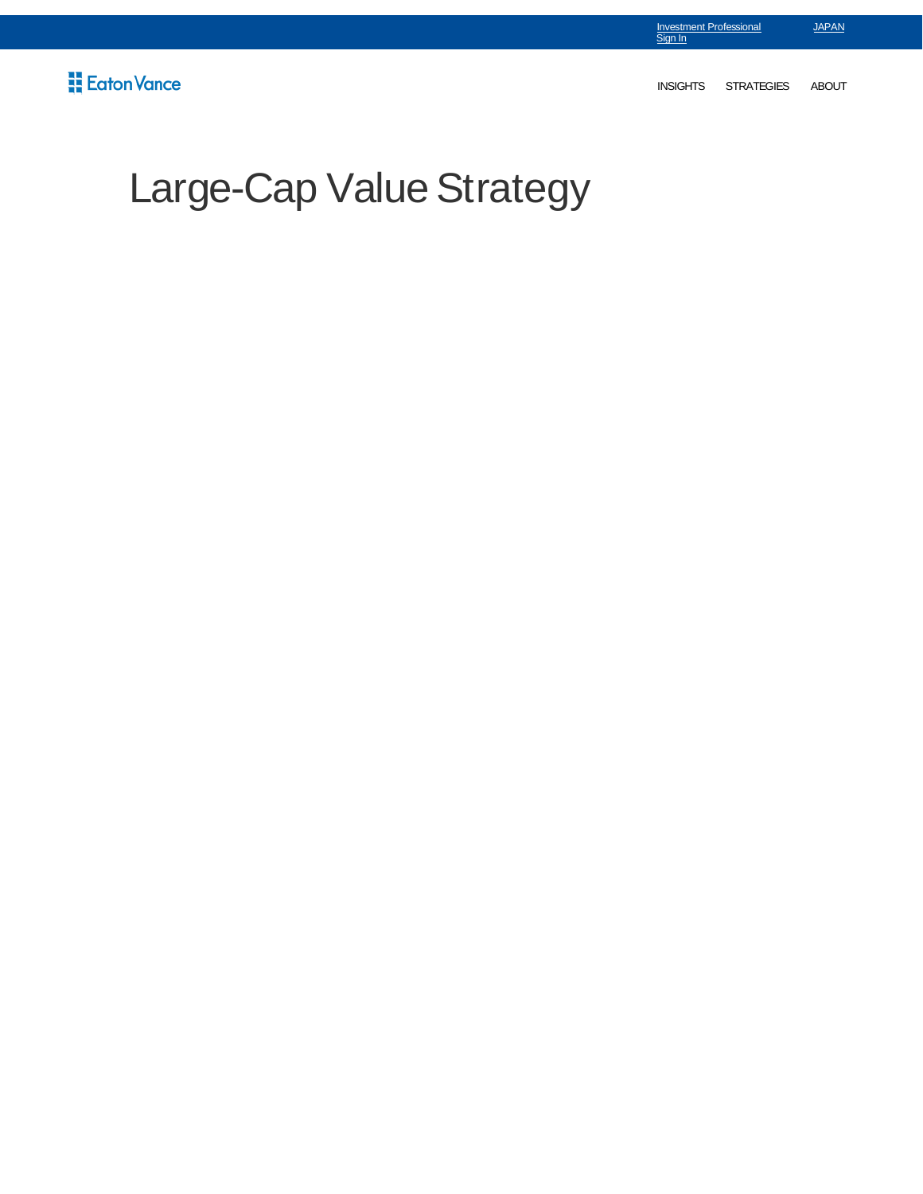INSIGHTS STRATEGIES ABOUT

JAPAN

Investment Professional Sign In

# Large-Cap Value Strategy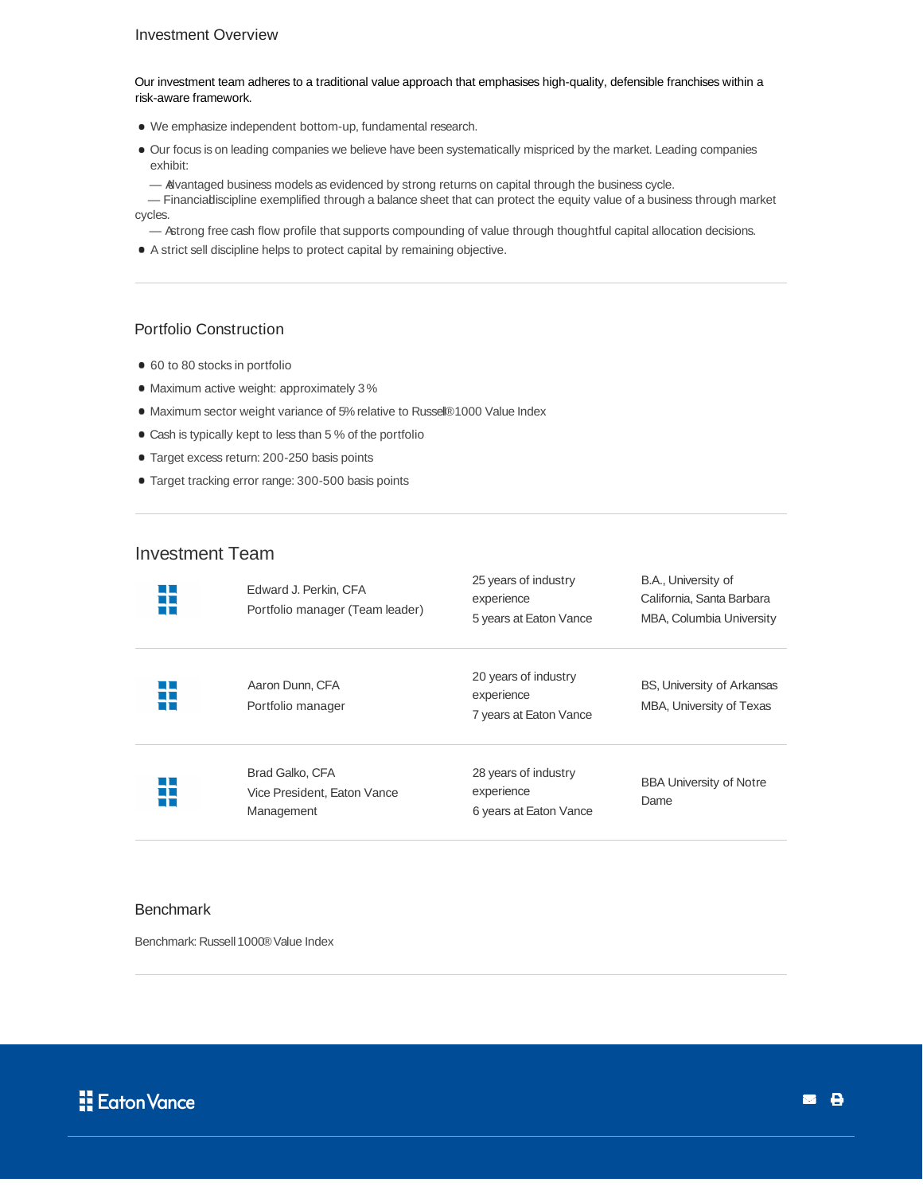### Investment Overview

Our investment team adheres to a traditional value approach that emphasises high-quality, defensible franchises within a risk-aware framework.

- We emphasize independent bottom-up, fundamental research.
- Our focus is on leading companies we believe have been systematically mispriced by the market. Leading companies exhibit:
	- Advantaged business models as evidenced by strong returns on capital through the business cycle.

- Financialdiscipline exemplified through a balance sheet that can protect the equity value of a business through market cycles.

- Astrong free cash flow profile that supports compounding of value through thoughtful capital allocation decisions.
- A strict sell discipline helps to protect capital by remaining objective.

## Portfolio Construction

- 60 to 80 stocks in portfolio
- $\bullet$  Maximum active weight: approximately 3%
- Maximum sector weight variance of 5% relative to Russel®1000 Value Index
- Cash is typically kept to less than 5 % of the portfolio
- Target excess return: 200-250 basis points
- Target tracking error range: 300-500 basis points

## Investment Team

| LL<br>$\Box$ $\Box$<br>L L  | Edward J. Perkin, CFA<br>Portfolio manager (Team leader)     | 25 years of industry<br>experience<br>5 years at Eaton Vance | B.A., University of<br>California, Santa Barbara<br>MBA, Columbia University |
|-----------------------------|--------------------------------------------------------------|--------------------------------------------------------------|------------------------------------------------------------------------------|
| u L<br>$\Box$ $\Box$<br>L L | Aaron Dunn, CFA<br>Portfolio manager                         | 20 years of industry<br>experience<br>7 years at Eaton Vance | BS, University of Arkansas<br>MBA, University of Texas                       |
| L E<br>$\Box$<br>LL         | Brad Galko, CFA<br>Vice President, Eaton Vance<br>Management | 28 years of industry<br>experience<br>6 years at Eaton Vance | <b>BBA University of Notre</b><br>Dame                                       |

#### **Benchmark**

Benchmark: Russell 1000® Value Index